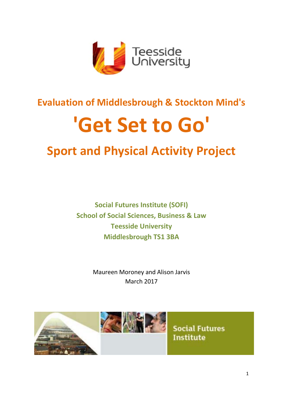

# **Evaluation of Middlesbrough & Stockton Mind's**

# **'Get Set to Go'**

# **Sport and Physical Activity Project**

**Social Futures Institute (SOFI) School of Social Sciences, Business & Law Teesside University Middlesbrough TS1 3BA**

> Maureen Moroney and Alison Jarvis March 2017

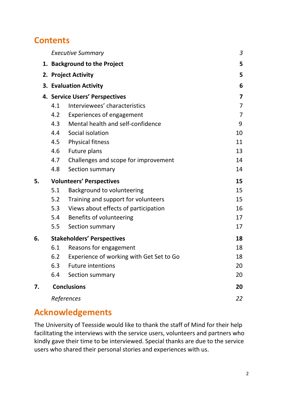### **Contents**

|    |                                | <b>Executive Summary</b>                 | 3              |
|----|--------------------------------|------------------------------------------|----------------|
|    | 1. Background to the Project   |                                          | 5              |
|    | 2. Project Activity            | 5                                        |                |
|    | 3. Evaluation Activity         | 6                                        |                |
|    | 4. Service Users' Perspectives |                                          |                |
|    | 4.1                            | Interviewees' characteristics            | $\overline{7}$ |
|    | 4.2                            | <b>Experiences of engagement</b>         | $\overline{7}$ |
|    | 4.3                            | Mental health and self-confidence        | 9              |
|    | 4.4                            | Social isolation                         | 10             |
|    | 4.5                            | <b>Physical fitness</b>                  | 11             |
|    | 4.6                            | Future plans                             | 13             |
|    | 4.7                            | Challenges and scope for improvement     | 14             |
|    | 4.8                            | Section summary                          | 14             |
| 5. |                                | <b>Volunteers' Perspectives</b>          | 15             |
|    | 5.1                            | Background to volunteering               | 15             |
|    | 5.2                            | Training and support for volunteers      | 15             |
|    | 5.3                            | Views about effects of participation     | 16             |
|    | 5.4                            | Benefits of volunteering                 | 17             |
|    | 5.5                            | Section summary                          | 17             |
| 6. |                                | <b>Stakeholders' Perspectives</b>        | 18             |
|    | 6.1                            | Reasons for engagement                   | 18             |
|    | 6.2                            | Experience of working with Get Set to Go | 18             |
|    | 6.3                            | <b>Future intentions</b>                 | 20             |
|    | 6.4                            | Section summary                          | 20             |
| 7. | <b>Conclusions</b>             | 20                                       |                |
|    |                                | References                               | 22             |

# **Acknowledgements**

The University of Teesside would like to thank the staff of Mind for their help facilitating the interviews with the service users, volunteers and partners who kindly gave their time to be interviewed. Special thanks are due to the service users who shared their personal stories and experiences with us.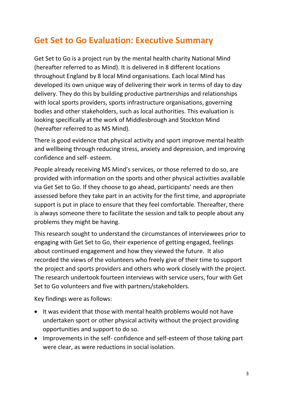# **Get Set to Go Evaluation: Executive Summary**

Get Set to Go is a project run by the mental health charity National Mind (hereafter referred to as Mind). It is delivered in 8 different locations throughout England by 8 local Mind organisations. Each local Mind has developed its own unique way of delivering their work in terms of day to day delivery. They do this by building productive partnerships and relationships with local sports providers, sports infrastructure organisations, governing bodies and other stakeholders, such as local authorities. This evaluation is looking specifically at the work of Middlesbrough and Stockton Mind (hereafter referred to as MS Mind).

There is good evidence that physical activity and sport improve mental health and wellbeing through reducing stress, anxiety and depression, and improving confidence and self- esteem.

People already receiving MS Mind's services, or those referred to do so, are provided with information on the sports and other physical activities available via Get Set to Go. If they choose to go ahead, participants' needs are then assessed before they take part in an activity for the first time, and appropriate support is put in place to ensure that they feel comfortable. Thereafter, there is always someone there to facilitate the session and talk to people about any problems they might be having.

This research sought to understand the circumstances of interviewees prior to engaging with Get Set to Go, their experience of getting engaged, feelings about continued engagement and how they viewed the future. It also recorded the views of the volunteers who freely give of their time to support the project and sports providers and others who work closely with the project. The research undertook fourteen interviews with service users, four with Get Set to Go volunteers and five with partners/stakeholders.

Key findings were as follows:

- It was evident that those with mental health problems would not have undertaken sport or other physical activity without the project providing opportunities and support to do so.
- Improvements in the self- confidence and self-esteem of those taking part were clear, as were reductions in social isolation.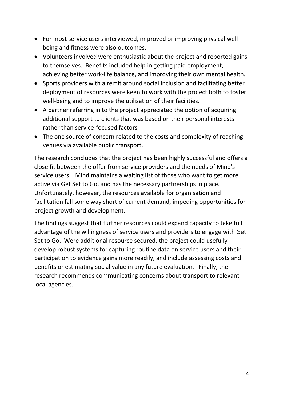- For most service users interviewed, improved or improving physical wellbeing and fitness were also outcomes.
- Volunteers involved were enthusiastic about the project and reported gains to themselves. Benefits included help in getting paid employment, achieving better work-life balance, and improving their own mental health.
- Sports providers with a remit around social inclusion and facilitating better deployment of resources were keen to work with the project both to foster well-being and to improve the utilisation of their facilities.
- A partner referring in to the project appreciated the option of acquiring additional support to clients that was based on their personal interests rather than service-focused factors
- The one source of concern related to the costs and complexity of reaching venues via available public transport.

The research concludes that the project has been highly successful and offers a close fit between the offer from service providers and the needs of Mind's service users. Mind maintains a waiting list of those who want to get more active via Get Set to Go, and has the necessary partnerships in place. Unfortunately, however, the resources available for organisation and facilitation fall some way short of current demand, impeding opportunities for project growth and development.

The findings suggest that further resources could expand capacity to take full advantage of the willingness of service users and providers to engage with Get Set to Go.Were additional resource secured, the project could usefully develop robust systems for capturing routine data on service users and their participation to evidence gains more readily, and include assessing costs and benefits or estimating social value in any future evaluation. Finally, the research recommends communicating concerns about transport to relevant local agencies.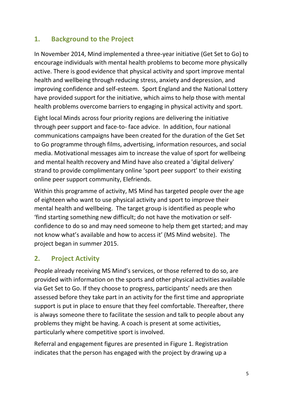#### **1. Background to the Project**

In November 2014, Mind implemented a three-year initiative (Get Set to Go) to encourage individuals with mental health problems to become more physically active. There is good evidence that physical activity and sport improve mental health and wellbeing through reducing stress, anxiety and depression, and improving confidence and self-esteem. Sport England and the National Lottery have provided support for the initiative, which aims to help those with mental health problems overcome barriers to engaging in physical activity and sport.

Eight local Minds across four priority regions are delivering the initiative through peer support and face-to- face advice. In addition, four national communications campaigns have been created for the duration of the Get Set to Go programme through films, advertising, information resources, and social media. Motivational messages aim to increase the value of sport for wellbeing and mental health recovery and Mind have also created a 'digital delivery' strand to provide complimentary online 'sport peer support' to their existing online peer support community, Elefriends.

Within this programme of activity, MS Mind has targeted people over the age of eighteen who want to use physical activity and sport to improve their mental health and wellbeing. The target group is identified as people who 'find starting something new difficult; do not have the motivation or selfconfidence to do so and may need someone to help them get started; and may not know what's available and how to access it' (MS Mind website). The project began in summer 2015.

#### **2. Project Activity**

People already receiving MS Mind's services, or those referred to do so, are provided with information on the sports and other physical activities available via Get Set to Go. If they choose to progress, participants' needs are then assessed before they take part in an activity for the first time and appropriate support is put in place to ensure that they feel comfortable. Thereafter, there is always someone there to facilitate the session and talk to people about any problems they might be having. A coach is present at some activities, particularly where competitive sport is involved.

Referral and engagement figures are presented in Figure 1. Registration indicates that the person has engaged with the project by drawing up a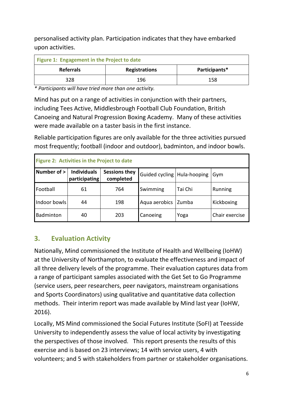personalised activity plan. Participation indicates that they have embarked upon activities.

| Figure 1: Engagement in the Project to date |                      |               |  |  |  |
|---------------------------------------------|----------------------|---------------|--|--|--|
| <b>Referrals</b>                            | <b>Registrations</b> | Participants* |  |  |  |
| 328                                         | 196                  | 158           |  |  |  |

*\* Participants will have tried more than one activity.*

Mind has put on a range of activities in conjunction with their partners, including Tees Active, Middlesbrough Football Club Foundation, British Canoeing and Natural Progression Boxing Academy. Many of these activities were made available on a taster basis in the first instance.

Reliable participation figures are only available for the three activities pursued most frequently; football (indoor and outdoor), badminton, and indoor bowls.

| Figure 2: Activities in the Project to date |                                     |                                   |                               |         |                |  |  |
|---------------------------------------------|-------------------------------------|-----------------------------------|-------------------------------|---------|----------------|--|--|
| Number of >                                 | <b>Individuals</b><br>participating | <b>Sessions they</b><br>completed | Guided cycling   Hula-hooping |         | Gym            |  |  |
| Football                                    | 61                                  | 764                               | Swimming                      | Tai Chi | Running        |  |  |
| Indoor bowls                                | 44                                  | 198                               | Aqua aerobics                 | Zumba   | Kickboxing     |  |  |
| Badminton                                   | 40                                  | 203                               | Canoeing                      | Yoga    | Chair exercise |  |  |

#### **3. Evaluation Activity**

Nationally, Mind commissioned the Institute of Health and Wellbeing (IoHW) at the University of Northampton, to evaluate the effectiveness and impact of all three delivery levels of the programme. Their evaluation captures data from a range of participant samples associated with the Get Set to Go Programme (service users, peer researchers, peer navigators, mainstream organisations and Sports Coordinators) using qualitative and quantitative data collection methods. Their interim report was made available by Mind last year (IoHW, 2016).

Locally, MS Mind commissioned the Social Futures Institute (SoFI) at Teesside University to independently assess the value of local activity by investigating the perspectives of those involved. This report presents the results of this exercise and is based on 23 interviews; 14 with service users, 4 with volunteers; and 5 with stakeholders from partner or stakeholder organisations.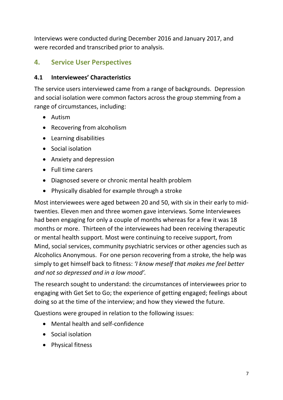Interviews were conducted during December 2016 and January 2017, and were recorded and transcribed prior to analysis.

#### **4. Service User Perspectives**

#### **4.1 Interviewees' Characteristics**

The service users interviewed came from a range of backgrounds. Depression and social isolation were common factors across the group stemming from a range of circumstances, including:

- Autism
- Recovering from alcoholism
- Learning disabilities
- Social isolation
- Anxiety and depression
- Full time carers
- Diagnosed severe or chronic mental health problem
- Physically disabled for example through a stroke

Most interviewees were aged between 20 and 50, with six in their early to midtwenties. Eleven men and three women gave interviews. Some Interviewees had been engaging for only a couple of months whereas for a few it was 18 months or more. Thirteen of the interviewees had been receiving therapeutic or mental health support. Most were continuing to receive support, from Mind, social services, community psychiatric services or other agencies such as Alcoholics Anonymous. For one person recovering from a stroke, the help was simply to get himself back to fitness: *'I know meself that makes me feel better and not so depressed and in a low mood'.* 

The research sought to understand: the circumstances of interviewees prior to engaging with Get Set to Go; the experience of getting engaged; feelings about doing so at the time of the interview; and how they viewed the future.

Questions were grouped in relation to the following issues:

- Mental health and self-confidence
- Social isolation
- Physical fitness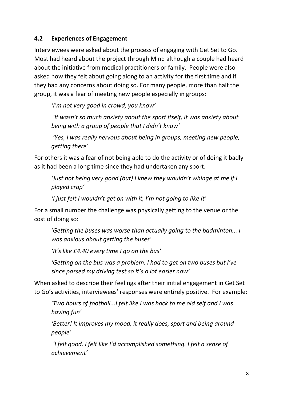#### **4.2 Experiences of Engagement**

Interviewees were asked about the process of engaging with Get Set to Go. Most had heard about the project through Mind although a couple had heard about the initiative from medical practitioners or family. People were also asked how they felt about going along to an activity for the first time and if they had any concerns about doing so. For many people, more than half the group, it was a fear of meeting new people especially in groups:

*'I'm not very good in crowd, you know'*

*'It wasn't so much anxiety about the sport itself, it was anxiety about being with a group of people that I didn't know'*

*'Yes, I was really nervous about being in groups, meeting new people, getting there'*

For others it was a fear of not being able to do the activity or of doing it badly as it had been a long time since they had undertaken any sport.

*'Just not being very good (but) I knew they wouldn't whinge at me if I played crap'*

*'I just felt I wouldn't get on with it, I'm not going to like it'*

For a small number the challenge was physically getting to the venue or the cost of doing so:

'*Getting the buses was worse than actually going to the badminton... I was anxious about getting the buses'*

*'It's like £4.40 every time I go on the bus'*

*'Getting on the bus was a problem. I had to get on two buses but I've since passed my driving test so it's a lot easier now'*

When asked to describe their feelings after their initial engagement in Get Set to Go's activities, interviewees' responses were entirely positive. For example:

'*Two hours of football...I felt like I was back to me old self and I was having fun'*

*'Better! It improves my mood, it really does, sport and being around people'*

*'I felt good. I felt like I'd accomplished something. I felt a sense of achievement'*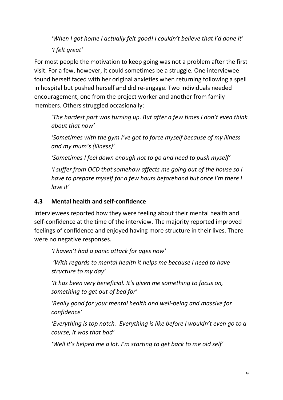*'When I got home I actually felt good! I couldn't believe that I'd done it'*

*'I felt great'*

For most people the motivation to keep going was not a problem after the first visit. For a few, however, it could sometimes be a struggle. One interviewee found herself faced with her original anxieties when returning following a spell in hospital but pushed herself and did re-engage. Two individuals needed encouragement, one from the project worker and another from family members. Others struggled occasionally:

'*The hardest part was turning up. But after a few times I don't even think about that now'*

*'Sometimes with the gym I've got to force myself because of my illness and my mum's (illness)'*

*'Sometimes I feel down enough not to go and need to push myself'*

*'I suffer from OCD that somehow affects me going out of the house so I have to prepare myself for a few hours beforehand but once I'm there I love it'*

#### **4.3 Mental health and self-confidence**

Interviewees reported how they were feeling about their mental health and self-confidence at the time of the interview. The majority reported improved feelings of confidence and enjoyed having more structure in their lives. There were no negative responses.

*'I haven't had a panic attack for ages now'*

*'With regards to mental health it helps me because I need to have structure to my day'*

*'It has been very beneficial. It's given me something to focus on, something to get out of bed for'*

*'Really good for your mental health and well-being and massive for confidence'*

*'Everything is top notch. Everything is like before I wouldn't even go to a course, it was that bad'*

*'Well it's helped me a lot. I'm starting to get back to me old self'*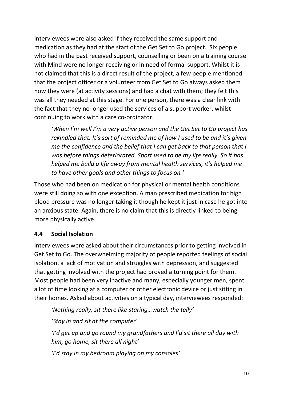Interviewees were also asked if they received the same support and medication as they had at the start of the Get Set to Go project. Six people who had in the past received support, counselling or been on a training course with Mind were no longer receiving or in need of formal support. Whilst it is not claimed that this is a direct result of the project, a few people mentioned that the project officer or a volunteer from Get Set to Go always asked them how they were (at activity sessions) and had a chat with them; they felt this was all they needed at this stage. For one person, there was a clear link with the fact that they no longer used the services of a support worker, whilst continuing to work with a care co-ordinator.

*'When I'm well I'm a very active person and the Get Set to Go project has rekindled that. It's sort of reminded me of how I used to be and it's given me the confidence and the belief that I can get back to that person that I was before things deteriorated. Sport used to be my life really. So it has helped me build a life away from mental health services, it's helped me to have other goals and other things to focus on.'* 

Those who had been on medication for physical or mental health conditions were still doing so with one exception. A man prescribed medication for high blood pressure was no longer taking it though he kept it just in case he got into an anxious state. Again, there is no claim that this is directly linked to being more physically active.

#### **4.4 Social Isolation**

Interviewees were asked about their circumstances prior to getting involved in Get Set to Go. The overwhelming majority of people reported feelings of social isolation, a lack of motivation and struggles with depression, and suggested that getting involved with the project had proved a turning point for them. Most people had been very inactive and many, especially younger men, spent a lot of time looking at a computer or other electronic device or just sitting in their homes. Asked about activities on a typical day, interviewees responded:

*'Nothing really, sit there like staring…watch the telly'*

*'Stay in and sit at the computer'*

*'I'd get up and go round my grandfathers and I'd sit there all day with him, go home, sit there all night'*

*'I'd stay in my bedroom playing on my consoles'*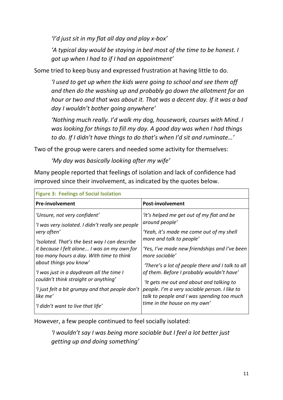*'I'd just sit in my flat all day and play x-box'*

*'A typical day would be staying in bed most of the time to be honest. I got up when I had to if I had an appointment'*

Some tried to keep busy and expressed frustration at having little to do.

*'I used to get up when the kids were going to school and see them off and then do the washing up and probably go down the allotment for an hour or two and that was about it. That was a decent day. If it was a bad day I wouldn't bother going anywhere'*

*'Nothing much really. I'd walk my dog, housework, courses with Mind. I was looking for things to fill my day. A good day was when I had things to do. If I didn't have things to do that's when I'd sit and ruminate…'* 

Two of the group were carers and needed some activity for themselves:

*'My day was basically looking after my wife'*

Many people reported that feelings of isolation and lack of confidence had improved since their involvement, as indicated by the quotes below.

| <b>Figure 3: Feelings of Social Isolation</b>                                                                                                                                                                                                                                                                                                                                                                                                                 |                                                                                                                                                                                                                                                                                                                                                                                                                                                                                    |  |  |  |
|---------------------------------------------------------------------------------------------------------------------------------------------------------------------------------------------------------------------------------------------------------------------------------------------------------------------------------------------------------------------------------------------------------------------------------------------------------------|------------------------------------------------------------------------------------------------------------------------------------------------------------------------------------------------------------------------------------------------------------------------------------------------------------------------------------------------------------------------------------------------------------------------------------------------------------------------------------|--|--|--|
| <b>Pre-involvement</b>                                                                                                                                                                                                                                                                                                                                                                                                                                        | <b>Post-involvement</b>                                                                                                                                                                                                                                                                                                                                                                                                                                                            |  |  |  |
| 'Unsure, not very confident'<br>'I was very isolated. I didn't really see people<br>very often'<br>'Isolated. That's the best way I can describe<br>it because I felt alone I was on my own for<br>too many hours a day. With time to think<br>about things you know'<br>'I was just in a daydream all the time I<br>couldn't think straight or anything'<br>'I just felt a bit grumpy and that people don't<br>like me'<br>'I didn't want to live that life' | 'It's helped me get out of my flat and be<br>around people'<br>'Yeah, it's made me come out of my shell<br>more and talk to people'<br>'Yes, I've made new friendships and I've been<br>more sociable'<br>'There's a lot of people there and I talk to all<br>of them. Before I probably wouldn't have'<br>'It gets me out and about and talking to<br>people. I'm a very sociable person. I like to<br>talk to people and I was spending too much<br>time in the house on my own' |  |  |  |

However, a few people continued to feel socially isolated:

*'I wouldn't say I was being more sociable but I feel a lot better just getting up and doing something'*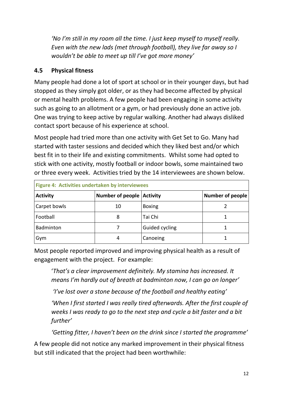*'No I'm still in my room all the time. I just keep myself to myself really. Even with the new lads (met through football), they live far away so I wouldn't be able to meet up till I've got more money'*

#### **4.5 Physical fitness**

Many people had done a lot of sport at school or in their younger days, but had stopped as they simply got older, or as they had become affected by physical or mental health problems. A few people had been engaging in some activity such as going to an allotment or a gym, or had previously done an active job. One was trying to keep active by regular walking. Another had always disliked contact sport because of his experience at school.

Most people had tried more than one activity with Get Set to Go. Many had started with taster sessions and decided which they liked best and/or which best fit in to their life and existing commitments. Whilst some had opted to stick with one activity, mostly football or indoor bowls, some maintained two or three every week. Activities tried by the 14 interviewees are shown below.

| Figure 4: Activities undertaken by interviewees |                                  |                       |                         |  |  |
|-------------------------------------------------|----------------------------------|-----------------------|-------------------------|--|--|
| <b>Activity</b>                                 | <b>Number of people Activity</b> |                       | <b>Number of people</b> |  |  |
| Carpet bowls                                    | 10                               | <b>Boxing</b>         |                         |  |  |
| Football                                        |                                  | Tai Chi               |                         |  |  |
| Badminton                                       |                                  | <b>Guided cycling</b> |                         |  |  |
| Gym                                             |                                  | Canoeing              |                         |  |  |

Most people reported improved and improving physical health as a result of engagement with the project. For example:

'*That's a clear improvement definitely. My stamina has increased. It means I'm hardly out of breath at badminton now, I can go on longer'*

*'I've lost over a stone because of the football and healthy eating'*

*'When I first started I was really tired afterwards. After the first couple of weeks I was ready to go to the next step and cycle a bit faster and a bit further'*

*'Getting fitter, I haven't been on the drink since I started the programme'*

A few people did not notice any marked improvement in their physical fitness but still indicated that the project had been worthwhile: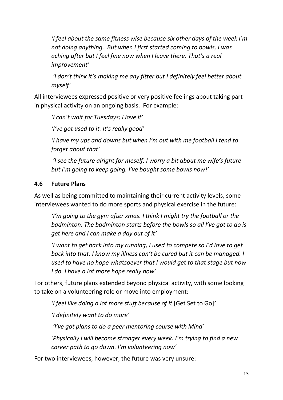*'I feel about the same fitness wise because six other days of the week I'm not doing anything. But when I first started coming to bowls, I was aching after but I feel fine now when I leave there. That's a real improvement'*

*'I don't think it's making me any fitter but I definitely feel better about myself'*

All interviewees expressed positive or very positive feelings about taking part in physical activity on an ongoing basis. For example:

*'I can't wait for Tuesdays; I love it'*

*'I've got used to it. It's really good'*

*'I have my ups and downs but when I'm out with me football I tend to forget about that'*

 *'I see the future alright for meself. I worry a bit about me wife's future but I'm going to keep going. I've bought some bowls now!'*

#### **4.6 Future Plans**

As well as being committed to maintaining their current activity levels, some interviewees wanted to do more sports and physical exercise in the future:

*'I'm going to the gym after xmas. I think I might try the football or the badminton. The badminton starts before the bowls so all I've got to do is get here and I can make a day out of it'*

*'I want to get back into my running, I used to compete so I'd love to get back into that. I know my illness can't be cured but it can be managed. I used to have no hope whatsoever that I would get to that stage but now I do. I have a lot more hope really now'*

For others, future plans extended beyond physical activity, with some looking to take on a volunteering role or move into employment:

*'I feel like doing a lot more stuff because of it* [Get Set to Go]*'* 

*'I definitely want to do more'*

*'I've got plans to do a peer mentoring course with Mind'*

'*Physically I will become stronger every week. I'm trying to find a new career path to go down. I'm volunteering now'*

For two interviewees, however, the future was very unsure: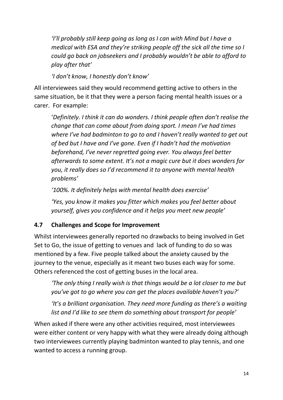*'I'll probably still keep going as long as I can with Mind but I have a medical with ESA and they're striking people off the sick all the time so I could go back on jobseekers and I probably wouldn't be able to afford to play after that'*

*'I don't know, I honestly don't know'*

All interviewees said they would recommend getting active to others in the same situation, be it that they were a person facing mental health issues or a carer. For example:

'*Definitely. I think it can do wonders. I think people often don't realise the change that can come about from doing sport. I mean I've had times where I've had badminton to go to and I haven't really wanted to get out of bed but I have and I've gone. Even if I hadn't had the motivation beforehand, I've never regretted going ever. You always feel better afterwards to some extent. It's not a magic cure but it does wonders for you, it really does so I'd recommend it to anyone with mental health problems'*

*'100%. It definitely helps with mental health does exercise'*

*'Yes, you know it makes you fitter which makes you feel better about yourself, gives you confidence and it helps you meet new people'*

#### **4.7 Challenges and Scope for Improvement**

Whilst interviewees generally reported no drawbacks to being involved in Get Set to Go, the issue of getting to venues and lack of funding to do so was mentioned by a few. Five people talked about the anxiety caused by the journey to the venue, especially as it meant two buses each way for some. Others referenced the cost of getting buses in the local area.

*'The only thing I really wish is that things would be a lot closer to me but you've got to go where you can get the places available haven't you?'*

*'It's a brilliant organisation. They need more funding as there's a waiting list and I'd like to see them do something about transport for people'*

When asked if there were any other activities required, most interviewees were either content or very happy with what they were already doing although two interviewees currently playing badminton wanted to play tennis, and one wanted to access a running group.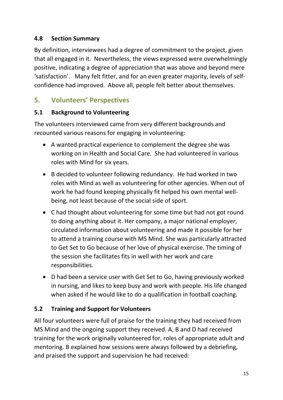#### **4.8 Section Summary**

By definition, interviewees had a degree of commitment to the project, given that all engaged in it. Nevertheless, the views expressed were overwhelmingly positive, indicating a degree of appreciation that was above and beyond mere 'satisfaction'. Many felt fitter, and for an even greater majority, levels of selfconfidence had improved. Above all, people felt better about themselves.

#### **5. Volunteers' Perspectives**

#### **5.1 Background to Volunteering**

The volunteers interviewed came from very different backgrounds and recounted various reasons for engaging in volunteering:

- A wanted practical experience to complement the degree she was working on in Health and Social Care. She had volunteered in various roles with Mind for six years.
- B decided to volunteer following redundancy. He had worked in two roles with Mind as well as volunteering for other agencies. When out of work he had found keeping physically fit helped his own mental wellbeing, not least because of the social side of sport.
- C had thought about volunteering for some time but had not got round to doing anything about it. Her company, a major national employer, circulated information about volunteering and made it possible for her to attend a training course with MS Mind. She was particularly attracted to Get Set to Go because of her love of physical exercise. The timing of the session she facilitates fits in well with her work and care responsibilities.
- D had been a service user with Get Set to Go, having previously worked in nursing, and likes to keep busy and work with people. His life changed when asked if he would like to do a qualification in football coaching.

#### **5.2 Training and Support for Volunteers**

All four volunteers were full of praise for the training they had received from MS Mind and the ongoing support they received. A, B and D had received training for the work originally volunteered for, roles of appropriate adult and mentoring. B explained how sessions were always followed by a debriefing, and praised the support and supervision he had received: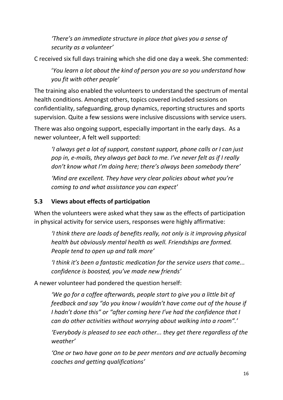*'There's an immediate structure in place that gives you a sense of security as a volunteer'*

C received six full days training which she did one day a week. She commented:

'*You learn a lot about the kind of person you are so you understand how you fit with other people'*

The training also enabled the volunteers to understand the spectrum of mental health conditions. Amongst others, topics covered included sessions on confidentiality, safeguarding, group dynamics, reporting structures and sports supervision. Quite a few sessions were inclusive discussions with service users.

There was also ongoing support, especially important in the early days. As a newer volunteer, A felt well supported:

*'I always get a lot of support, constant support, phone calls or I can just pop in, e-mails, they always get back to me. I've never felt as if I really don't know what I'm doing here; there's always been somebody there'* 

*'Mind are excellent. They have very clear policies about what you're coming to and what assistance you can expect'*

#### **5.3 Views about effects of participation**

When the volunteers were asked what they saw as the effects of participation in physical activity for service users, responses were highly affirmative:

*'I think there are loads of benefits really, not only is it improving physical health but obviously mental health as well. Friendships are formed. People tend to open up and talk more'*

*'I think it's been a fantastic medication for the service users that come... confidence is boosted, you've made new friends'*

A newer volunteer had pondered the question herself:

*'We go for a coffee afterwards, people start to give you a little bit of feedback and say "do you know I wouldn't have come out of the house if I hadn't done this" or "after coming here I've had the confidence that I can do other activities without worrying about walking into a room".'* 

*'Everybody is pleased to see each other... they get there regardless of the weather'*

*'One or two have gone on to be peer mentors and are actually becoming coaches and getting qualifications'*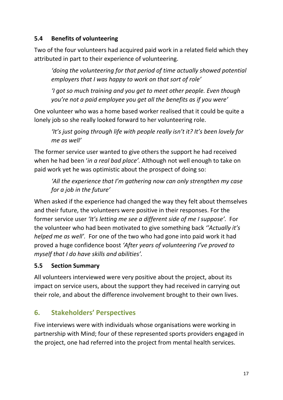#### **5.4 Benefits of volunteering**

Two of the four volunteers had acquired paid work in a related field which they attributed in part to their experience of volunteering.

*'doing the volunteering for that period of time actually showed potential employers that I was happy to work on that sort of role'*

*'I got so much training and you get to meet other people. Even though you're not a paid employee you get all the benefits as if you were'*

One volunteer who was a home based worker realised that it could be quite a lonely job so she really looked forward to her volunteering role.

*'It's just going through life with people really isn't it? It's been lovely for me as well'*

The former service user wanted to give others the support he had received when he had been '*in a real bad place'.* Although not well enough to take on paid work yet he was optimistic about the prospect of doing so:

 *'All the experience that I'm gathering now can only strengthen my case for a job in the future'*

When asked if the experience had changed the way they felt about themselves and their future, the volunteers were positive in their responses. For the former service user *'It's letting me see a different side of me I suppose'.* For the volunteer who had been motivated to give something back *''Actually it's helped me as well'.* For one of the two who had gone into paid work it had proved a huge confidence boost *'After years of volunteering I've proved to myself that I do have skills and abilities'.*

#### **5.5 Section Summary**

All volunteers interviewed were very positive about the project, about its impact on service users, about the support they had received in carrying out their role, and about the difference involvement brought to their own lives.

#### **6. Stakeholders' Perspectives**

Five interviews were with individuals whose organisations were working in partnership with Mind; four of these represented sports providers engaged in the project, one had referred into the project from mental health services.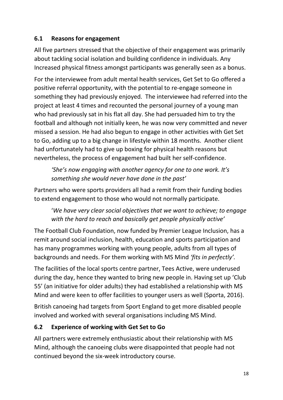#### **6.1 Reasons for engagement**

All five partners stressed that the objective of their engagement was primarily about tackling social isolation and building confidence in individuals. Any Increased physical fitness amongst participants was generally seen as a bonus.

For the interviewee from adult mental health services, Get Set to Go offered a positive referral opportunity, with the potential to re-engage someone in something they had previously enjoyed. The interviewee had referred into the project at least 4 times and recounted the personal journey of a young man who had previously sat in his flat all day. She had persuaded him to try the football and although not initially keen, he was now very committed and never missed a session. He had also begun to engage in other activities with Get Set to Go, adding up to a big change in lifestyle within 18 months. Another client had unfortunately had to give up boxing for physical health reasons but nevertheless, the process of engagement had built her self-confidence.

*'She's now engaging with another agency for one to one work. It's something she would never have done in the past'*

Partners who were sports providers all had a remit from their funding bodies to extend engagement to those who would not normally participate.

'*We have very clear social objectives that we want to achieve; to engage with the hard to reach and basically get people physically active'*

The Football Club Foundation, now funded by Premier League Inclusion, has a remit around social inclusion, health, education and sports participation and has many programmes working with young people, adults from all types of backgrounds and needs. For them working with MS Mind *'fits in perfectly'.* 

The facilities of the local sports centre partner, Tees Active, were underused during the day, hence they wanted to bring new people in. Having set up 'Club 55' (an initiative for older adults) they had established a relationship with MS Mind and were keen to offer facilities to younger users as well (Sporta, 2016).

British canoeing had targets from Sport England to get more disabled people involved and worked with several organisations including MS Mind.

#### **6.2 Experience of working with Get Set to Go**

All partners were extremely enthusiastic about their relationship with MS Mind, although the canoeing clubs were disappointed that people had not continued beyond the six-week introductory course.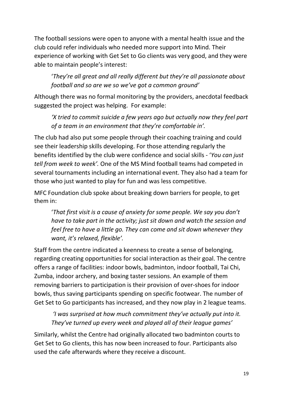The football sessions were open to anyone with a mental health issue and the club could refer individuals who needed more support into Mind. Their experience of working with Get Set to Go clients was very good, and they were able to maintain people's interest:

'*They're all great and all really different but they're all passionate about football and so are we so we've got a common ground'*

Although there was no formal monitoring by the providers, anecdotal feedback suggested the project was helping. For example:

*'X tried to commit suicide a few years ago but actually now they feel part of a team in an environment that they're comfortable in'.*

The club had also put some people through their coaching training and could see their leadership skills developing. For those attending regularly the benefits identified by the club were confidence and social skills - '*You can just tell from week to week'.* One of the MS Mind football teams had competed in several tournaments including an international event. They also had a team for those who just wanted to play for fun and was less competitive.

MFC Foundation club spoke about breaking down barriers for people, to get them in:

 '*That first visit is a cause of anxiety for some people. We say you don't have to take part in the activity; just sit down and watch the session and feel free to have a little go. They can come and sit down whenever they want, it's relaxed, flexible'.* 

Staff from the centre indicated a keenness to create a sense of belonging, regarding creating opportunities for social interaction as their goal. The centre offers a range of facilities: indoor bowls, badminton, indoor football, Tai Chi, Zumba, indoor archery, and boxing taster sessions. An example of them removing barriers to participation is their provision of over-shoes for indoor bowls, thus saving participants spending on specific footwear. The number of Get Set to Go participants has increased, and they now play in 2 league teams.

*'I was surprised at how much commitment they've actually put into it. They've turned up every week and played all of their league games'*

Similarly, whilst the Centre had originally allocated two badminton courts to Get Set to Go clients, this has now been increased to four. Participants also used the cafe afterwards where they receive a discount.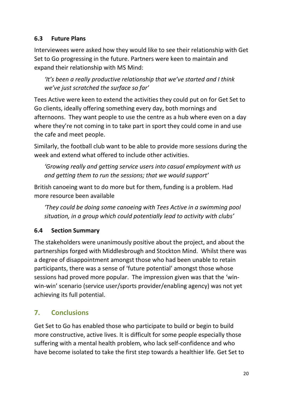#### **6.3 Future Plans**

Interviewees were asked how they would like to see their relationship with Get Set to Go progressing in the future. Partners were keen to maintain and expand their relationship with MS Mind:

*'It's been a really productive relationship that we've started and I think we've just scratched the surface so far'*

Tees Active were keen to extend the activities they could put on for Get Set to Go clients, ideally offering something every day, both mornings and afternoons. They want people to use the centre as a hub where even on a day where they're not coming in to take part in sport they could come in and use the cafe and meet people.

Similarly, the football club want to be able to provide more sessions during the week and extend what offered to include other activities.

*'Growing really and getting service users into casual employment with us and getting them to run the sessions; that we would support'*

British canoeing want to do more but for them, funding is a problem. Had more resource been available

*'They could be doing some canoeing with Tees Active in a swimming pool situation, in a group which could potentially lead to activity with clubs'*

#### **6.4 Section Summary**

The stakeholders were unanimously positive about the project, and about the partnerships forged with Middlesbrough and Stockton Mind. Whilst there was a degree of disappointment amongst those who had been unable to retain participants, there was a sense of 'future potential' amongst those whose sessions had proved more popular. The impression given was that the 'winwin-win' scenario (service user/sports provider/enabling agency) was not yet achieving its full potential.

#### **7. Conclusions**

Get Set to Go has enabled those who participate to build or begin to build more constructive, active lives. It is difficult for some people especially those suffering with a mental health problem, who lack self-confidence and who have become isolated to take the first step towards a healthier life. Get Set to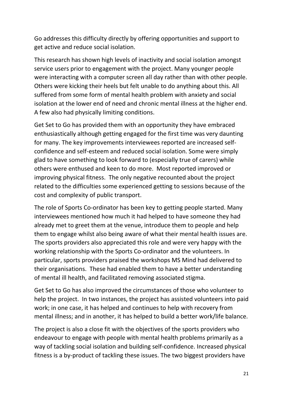Go addresses this difficulty directly by offering opportunities and support to get active and reduce social isolation.

This research has shown high levels of inactivity and social isolation amongst service users prior to engagement with the project. Many younger people were interacting with a computer screen all day rather than with other people. Others were kicking their heels but felt unable to do anything about this. All suffered from some form of mental health problem with anxiety and social isolation at the lower end of need and chronic mental illness at the higher end. A few also had physically limiting conditions.

Get Set to Go has provided them with an opportunity they have embraced enthusiastically although getting engaged for the first time was very daunting for many. The key improvements interviewees reported are increased selfconfidence and self-esteem and reduced social isolation. Some were simply glad to have something to look forward to (especially true of carers) while others were enthused and keen to do more. Most reported improved or improving physical fitness. The only negative recounted about the project related to the difficulties some experienced getting to sessions because of the cost and complexity of public transport.

The role of Sports Co-ordinator has been key to getting people started. Many interviewees mentioned how much it had helped to have someone they had already met to greet them at the venue, introduce them to people and help them to engage whilst also being aware of what their mental health issues are. The sports providers also appreciated this role and were very happy with the working relationship with the Sports Co-ordinator and the volunteers. In particular, sports providers praised the workshops MS Mind had delivered to their organisations. These had enabled them to have a better understanding of mental ill health, and facilitated removing associated stigma.

Get Set to Go has also improved the circumstances of those who volunteer to help the project. In two instances, the project has assisted volunteers into paid work; in one case, it has helped and continues to help with recovery from mental illness; and in another, it has helped to build a better work/life balance.

The project is also a close fit with the objectives of the sports providers who endeavour to engage with people with mental health problems primarily as a way of tackling social isolation and building self-confidence. Increased physical fitness is a by-product of tackling these issues. The two biggest providers have